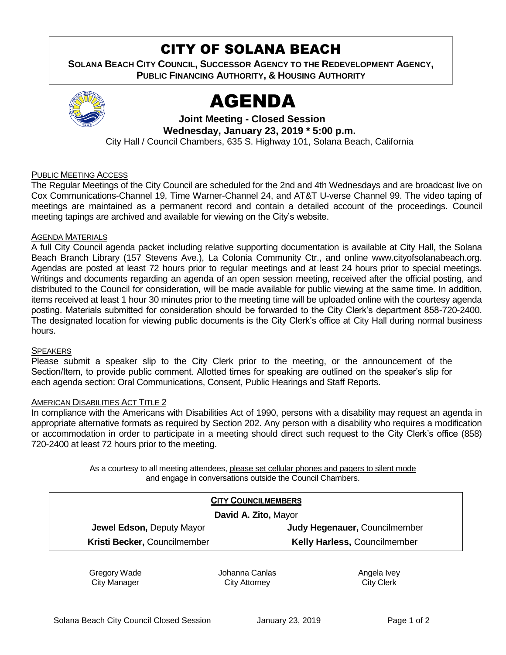# CITY OF SOLANA BEACH

**SOLANA BEACH CITY COUNCIL, SUCCESSOR AGENCY TO THE REDEVELOPMENT AGENCY, PUBLIC FINANCING AUTHORITY, & HOUSING AUTHORITY** 



# AGENDA

**Joint Meeting - Closed Session Wednesday, January 23, 2019 \* 5:00 p.m.** City Hall / Council Chambers, 635 S. Highway 101, Solana Beach, California

### PUBLIC MEETING ACCESS

The Regular Meetings of the City Council are scheduled for the 2nd and 4th Wednesdays and are broadcast live on Cox Communications-Channel 19, Time Warner-Channel 24, and AT&T U-verse Channel 99. The video taping of meetings are maintained as a permanent record and contain a detailed account of the proceedings. Council meeting tapings are archived and available for viewing on the City's website.

#### AGENDA MATERIALS

A full City Council agenda packet including relative supporting documentation is available at City Hall, the Solana Beach Branch Library (157 Stevens Ave.), La Colonia Community Ctr., and online www.cityofsolanabeach.org. Agendas are posted at least 72 hours prior to regular meetings and at least 24 hours prior to special meetings. Writings and documents regarding an agenda of an open session meeting, received after the official posting, and distributed to the Council for consideration, will be made available for public viewing at the same time. In addition, items received at least 1 hour 30 minutes prior to the meeting time will be uploaded online with the courtesy agenda posting. Materials submitted for consideration should be forwarded to the City Clerk's department 858-720-2400. The designated location for viewing public documents is the City Clerk's office at City Hall during normal business hours.

#### **SPEAKERS**

Please submit a speaker slip to the City Clerk prior to the meeting, or the announcement of the Section/Item, to provide public comment. Allotted times for speaking are outlined on the speaker's slip for each agenda section: Oral Communications, Consent, Public Hearings and Staff Reports.

#### AMERICAN DISABILITIES ACT TITLE 2

In compliance with the Americans with Disabilities Act of 1990, persons with a disability may request an agenda in appropriate alternative formats as required by Section 202. Any person with a disability who requires a modification or accommodation in order to participate in a meeting should direct such request to the City Clerk's office (858) 720-2400 at least 72 hours prior to the meeting.

> As a courtesy to all meeting attendees, please set cellular phones and pagers to silent mode and engage in conversations outside the Council Chambers.

| <b>CITY COUNCILMEMBERS</b>   |                                     |
|------------------------------|-------------------------------------|
| David A. Zito, Mayor         |                                     |
| Jewel Edson, Deputy Mayor    | Judy Hegenauer, Councilmember       |
| Kristi Becker, Councilmember | <b>Kelly Harless, Councilmember</b> |
|                              |                                     |

Gregory Wade City Manager

Johanna Canlas City Attorney

Angela Ivey City Clerk